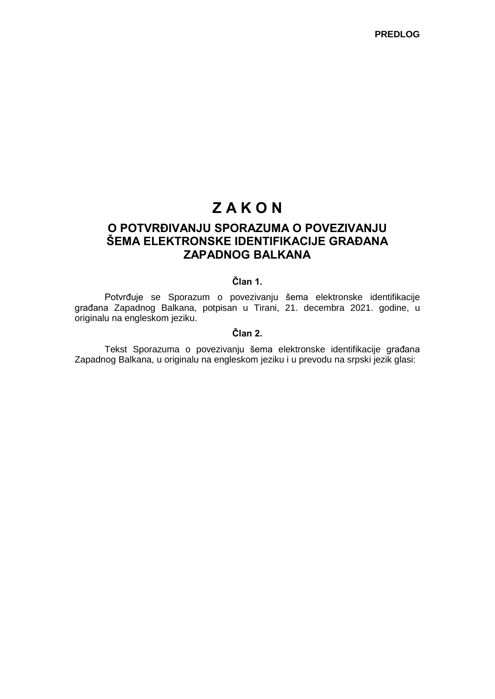# **Z A K O N**

## **O POTVRĐIVANJU SPORAZUMA O POVEZIVANJU ŠEMA ELEKTRONSKE IDENTIFIKACIJE GRAĐANA ZAPADNOG BALKANA**

## **Član 1.**

Potvrđuje se Sporazum o povezivanju šema elektronske identifikacije građana Zapadnog Balkana, potpisan u Tirani, 21. decembra 2021. godine, u originalu na engleskom jeziku.

## **Član 2.**

Tekst Sporazuma o povezivanju šema elektronske identifikacije građana Zapadnog Balkana, u originalu na engleskom jeziku i u prevodu na srpski jezik glasi: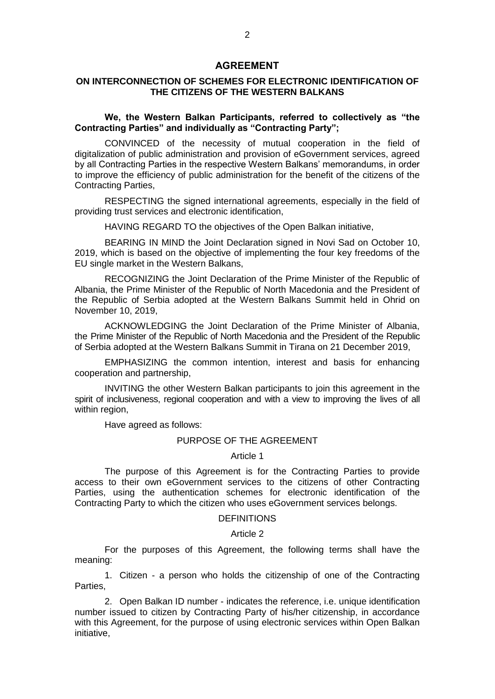#### **AGREEMENT**

## **ON INTERCONNECTION OF SCHEMES FOR ELECTRONIC IDENTIFICATION OF THE CITIZENS OF THE WESTERN BALKANS**

## **We, the Western Balkan Participants, referred to collectively as "the Contracting Parties" and individually as "Contracting Party";**

CONVINCED of the necessity of mutual cooperation in the field of digitalization of public administration and provision of eGovernment services, agreed by all Contracting Parties in the respective Western Balkans' memorandums, in order to improve the efficiency of public administration for the benefit of the citizens of the Contracting Parties,

RESPECTING the signed international agreements, especially in the field of providing trust services and electronic identification,

HAVING REGARD TO the objectives of the Open Balkan initiative,

BEARING IN MIND the Joint Declaration signed in Novi Sad on October 10, 2019, which is based on the objective of implementing the four key freedoms of the EU single market in the Western Balkans,

RECOGNIZING the Joint Declaration of the Prime Minister of the Republic of Albania, the Prime Minister of the Republic of North Macedonia and the President of the Republic of Serbia adopted at the Western Balkans Summit held in Ohrid on November 10, 2019,

ACKNOWLEDGING the Joint Declaration of the Prime Minister of Albania, the Prime Minister of the Republic of North Macedonia and the President of the Republic of Serbia adopted at the Western Balkans Summit in Tirana on 21 December 2019,

EMPHASIZING the common intention, interest and basis for enhancing cooperation and partnership,

INVITING the other Western Balkan participants to join this agreement in the spirit of inclusiveness, regional cooperation and with a view to improving the lives of all within region,

Have agreed as follows:

## PURPOSE OF THE AGREEMENT

#### Article 1

The purpose of this Agreement is for the Contracting Parties to provide access to their own eGovernment services to the citizens of other Contracting Parties, using the authentication schemes for electronic identification of the Contracting Party to which the citizen who uses eGovernment services belongs.

#### DEFINITIONS

#### Article 2

For the purposes of this Agreement, the following terms shall have the meaning:

1. Citizen - a person who holds the citizenship of one of the Contracting Parties,

2. Open Balkan ID number - indicates the reference, i.e. unique identification number issued to citizen by Contracting Party of his/her citizenship, in accordance with this Agreement, for the purpose of using electronic services within Open Balkan initiative,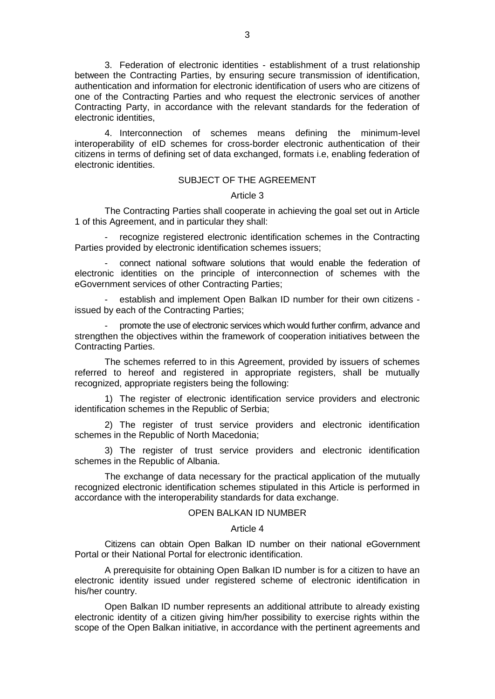3. Federation of electronic identities - establishment of a trust relationship between the Contracting Parties, by ensuring secure transmission of identification, authentication and information for electronic identification of users who are citizens of one of the Contracting Parties and who request the electronic services of another Contracting Party, in accordance with the relevant standards for the federation of electronic identities,

4. Interconnection of schemes means defining the minimum-level interoperability of eID schemes for cross-border electronic authentication of their citizens in terms of defining set of data exchanged, formats i.e, enabling federation of electronic identities.

## SUBJECT OF THE AGREEMENT.

#### Article 3

The Contracting Parties shall cooperate in achieving the goal set out in Article 1 of this Agreement, and in particular they shall:

recognize registered electronic identification schemes in the Contracting Parties provided by electronic identification schemes issuers;

- connect national software solutions that would enable the federation of electronic identities on the principle of interconnection of schemes with the eGovernment services of other Contracting Parties;

- establish and implement Open Balkan ID number for their own citizens issued by each of the Contracting Parties;

- promote the use of electronic services which would further confirm, advance and strengthen the objectives within the framework of cooperation initiatives between the Contracting Parties.

The schemes referred to in this Agreement, provided by issuers of schemes referred to hereof and registered in appropriate registers, shall be mutually recognized, appropriate registers being the following:

1) The register of electronic identification service providers and electronic identification schemes in the Republic of Serbia;

2) The register of trust service providers and electronic identification schemes in the Republic of North Macedonia;

3) The register of trust service providers and electronic identification schemes in the Republic of Albania.

The exchange of data necessary for the practical application of the mutually recognized electronic identification schemes stipulated in this Article is performed in accordance with the interoperability standards for data exchange.

## OPEN BALKAN ID NUMBER

#### Article 4

Citizens can obtain Open Balkan ID number on their national eGovernment Portal or their National Portal for electronic identification.

A prerequisite for obtaining Open Balkan ID number is for a citizen to have an electronic identity issued under registered scheme of electronic identification in his/her country.

Open Balkan ID number represents an additional attribute to already existing electronic identity of a citizen giving him/her possibility to exercise rights within the scope of the Open Balkan initiative, in accordance with the pertinent agreements and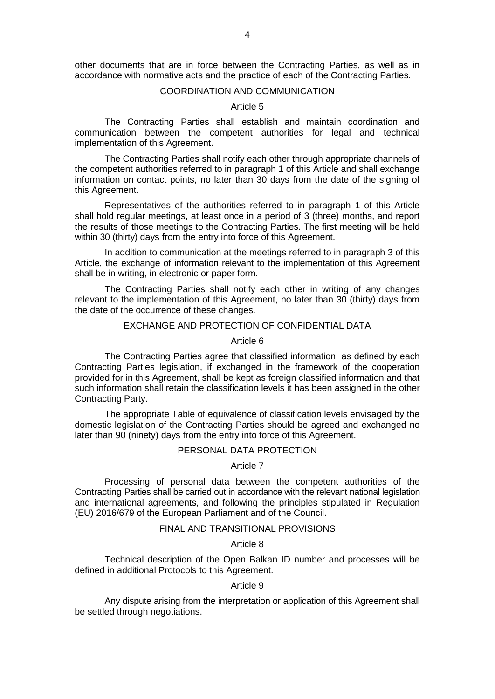other documents that are in force between the Contracting Parties, as well as in accordance with normative acts and the practice of each of the Contracting Parties.

#### COORDINATION AND COMMUNICATION

#### Article 5

The Contracting Parties shall establish and maintain coordination and communication between the competent authorities for legal and technical implementation of this Agreement.

The Contracting Parties shall notify each other through appropriate channels of the competent authorities referred to in paragraph 1 of this Article and shall exchange information on contact points, no later than 30 days from the date of the signing of this Agreement.

Representatives of the authorities referred to in paragraph 1 of this Article shall hold regular meetings, at least once in a period of 3 (three) months, and report the results of those meetings to the Contracting Parties. The first meeting will be held within 30 (thirty) days from the entry into force of this Agreement.

In addition to communication at the meetings referred to in paragraph 3 of this Article, the exchange of information relevant to the implementation of this Agreement shall be in writing, in electronic or paper form.

The Contracting Parties shall notify each other in writing of any changes relevant to the implementation of this Agreement, no later than 30 (thirty) days from the date of the occurrence of these changes.

## EXCHANGE AND PROTECTION OF CONFIDENTIAL DATA

Article 6

The Contracting Parties agree that classified information, as defined by each Contracting Parties legislation, if exchanged in the framework of the cooperation provided for in this Agreement, shall be kept as foreign classified information and that such information shall retain the classification levels it has been assigned in the other Contracting Party.

The appropriate Table of equivalence of classification levels envisaged by the domestic legislation of the Contracting Parties should be agreed and exchanged no later than 90 (ninety) days from the entry into force of this Agreement.

## PERSONAL DATA PROTECTION

#### Article 7

Processing of personal data between the competent authorities of the Contracting Parties shall be carried out in accordance with the relevant national legislation and international agreements, and following the principles stipulated in Regulation (EU) 2016/679 of the European Parliament and of the Council.

#### FINAL AND TRANSITIONAL PROVISIONS

#### Article 8

Technical description of the Open Balkan ID number and processes will be defined in additional Protocols to this Agreement.

#### Article 9

Any dispute arising from the interpretation or application of this Agreement shall be settled through negotiations.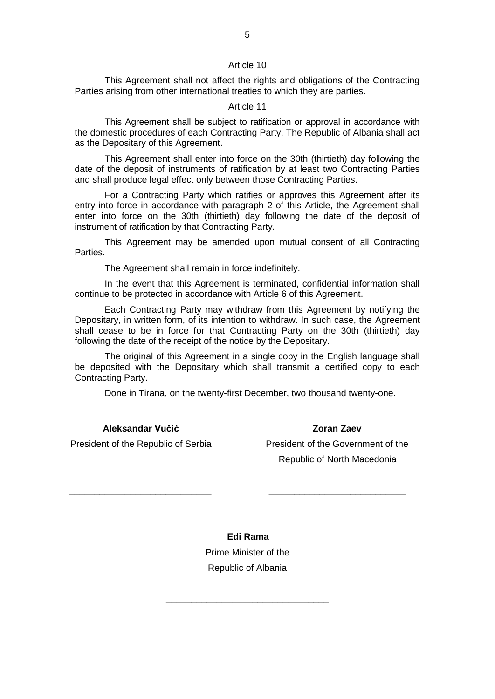#### Article 10

This Agreement shall not affect the rights and obligations of the Contracting Parties arising from other international treaties to which they are parties.

## Article 11

This Agreement shall be subject to ratification or approval in accordance with the domestic procedures of each Contracting Party. The Republic of Albania shall act as the Depositary of this Agreement.

This Agreement shall enter into force on the 30th (thirtieth) day following the date of the deposit of instruments of ratification by at least two Contracting Parties and shall produce legal effect only between those Contracting Parties.

For a Contracting Party which ratifies or approves this Agreement after its entry into force in accordance with paragraph 2 of this Article, the Agreement shall enter into force on the 30th (thirtieth) day following the date of the deposit of instrument of ratification by that Contracting Party.

This Agreement may be amended upon mutual consent of all Contracting Parties.

The Agreement shall remain in force indefinitely.

In the event that this Agreement is terminated, confidential information shall continue to be protected in accordance with Article 6 of this Agreement.

Each Contracting Party may withdraw from this Agreement by notifying the Depositary, in written form, of its intention to withdraw. In such case, the Agreement shall cease to be in force for that Contracting Party on the 30th (thirtieth) day following the date of the receipt of the notice by the Depositary.

The original of this Agreement in a single copy in the English language shall be deposited with the Depositary which shall transmit a certified copy to each Contracting Party.

Done in Tirana, on the twenty-first December, two thousand twenty-one.

**Aleksandar Vučić**

President of the Republic of Serbia

**\_\_\_\_\_\_\_\_\_\_\_\_\_\_\_\_\_\_\_\_\_\_\_\_\_\_\_\_**

President of the Government of the Republic of North Macedonia

**\_\_\_\_\_\_\_\_\_\_\_\_\_\_\_\_\_\_\_\_\_\_\_\_\_\_\_**

**Edi Rama** Prime Minister of the Republic of Albania

**\_\_\_\_\_\_\_\_\_\_\_\_\_\_\_\_\_\_\_\_\_\_\_\_\_\_\_\_\_\_\_\_**

**Zoran Zaev**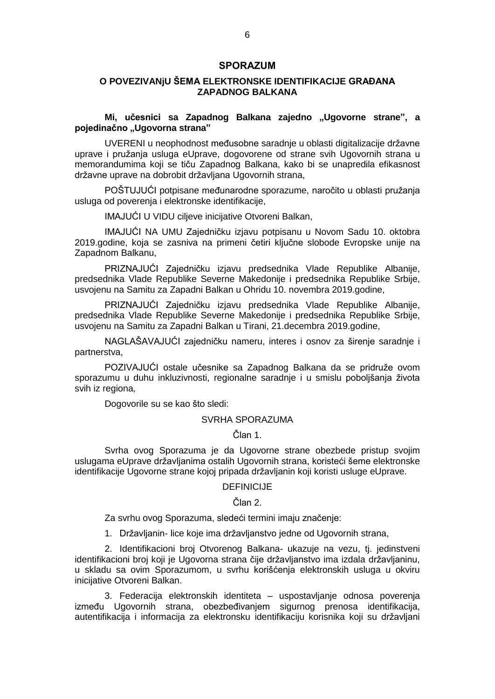#### **SPORAZUM**

## **O POVEZIVANjU ŠEMA ELEKTRONSKE IDENTIFIKACIJE GRAĐANA ZAPADNOG BALKANA**

**Mi, učesnici sa Zapadnog Balkana zajedno "Ugovorne strane", a pojedinačno "Ugovorna strana"** 

UVERENI u neophodnost međusobne saradnje u oblasti digitalizacije državne uprave i pružanja usluga eUprave, dogovorene od strane svih Ugovornih strana u memorandumima koji se tiču Zapadnog Balkana, kako bi se unapredila efikasnost državne uprave na dobrobit državljana Ugovornih strana,

POŠTUJUĆI potpisane međunarodne sporazume, naročito u oblasti pružanja usluga od poverenja i elektronske identifikacije,

IMAJUĆI U VIDU ciljeve inicijative Otvoreni Balkan,

IMAJUĆI NA UMU Zajedničku izjavu potpisanu u Novom Sadu 10. oktobra 2019.godine, koja se zasniva na primeni četiri ključne slobode Evropske unije na Zapadnom Balkanu,

PRIZNAJUĆI Zajedničku izjavu predsednika Vlade Republike Albanije, predsednika Vlade Republike Severne Makedonije i predsednika Republike Srbije, usvojenu na Samitu za Zapadni Balkan u Ohridu 10. novembra 2019.godine,

PRIZNAJUĆI Zajedničku izjavu predsednika Vlade Republike Albanije, predsednika Vlade Republike Severne Makedonije i predsednika Republike Srbije, usvojenu na Samitu za Zapadni Balkan u Tirani, 21.decembra 2019.godine,

NAGLAŠAVAJUĆI zajedničku nameru, interes i osnov za širenje saradnje i partnerstva,

POZIVAJUĆI ostale učesnike sa Zapadnog Balkana da se pridruže ovom sporazumu u duhu inkluzivnosti, regionalne saradnje i u smislu poboljšanja života svih iz regiona,

Dogovorile su se kao što sledi:

#### SVRHA SPORAZUMA

Član 1.

Svrha ovog Sporazuma je da Ugovorne strane obezbede pristup svojim uslugama eUprave državljanima ostalih Ugovornih strana, koristeći šeme elektronske identifikacije Ugovorne strane kojoj pripada državljanin koji koristi usluge eUprave.

## DEFINICIJE

#### Član 2.

Za svrhu ovog Sporazuma, sledeći termini imaju značenje:

1. Državljanin- lice koje ima državljanstvo jedne od Ugovornih strana,

2. Identifikacioni broj Otvorenog Balkana- ukazuje na vezu, tj. jedinstveni identifikacioni broj koji je Ugovorna strana čije državljanstvo ima izdala državljaninu, u skladu sa ovim Sporazumom, u svrhu korišćenja elektronskih usluga u okviru inicijative Otvoreni Balkan.

3. Federacija elektronskih identiteta – uspostavljanje odnosa poverenja između Ugovornih strana, obezbeđivanjem sigurnog prenosa identifikacija, autentifikacija i informacija za elektronsku identifikaciju korisnika koji su državljani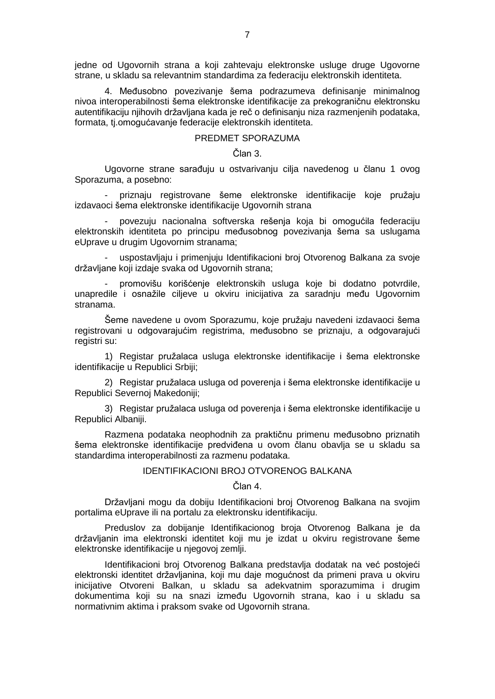jedne od Ugovornih strana a koji zahtevaju elektronske usluge druge Ugovorne strane, u skladu sa relevantnim standardima za federaciju elektronskih identiteta.

4. Međusobno povezivanje šema podrazumeva definisanje minimalnog nivoa interoperabilnosti šema elektronske identifikacije za prekograničnu elektronsku autentifikaciju njihovih državljana kada je reč o definisanju niza razmenjenih podataka, formata, tj.omogućavanje federacije elektronskih identiteta.

#### PREDMET SPORAZUMA

#### Član 3.

Ugovorne strane sarađuju u ostvarivanju cilja navedenog u članu 1 ovog Sporazuma, a posebno:

- priznaju registrovane šeme elektronske identifikacije koje pružaju izdavaoci šema elektronske identifikacije Ugovornih strana

- povezuju nacionalna softverska rešenja koja bi omogućila federaciju elektronskih identiteta po principu međusobnog povezivanja šema sa uslugama eUprave u drugim Ugovornim stranama;

uspostavljaju i primenjuju Identifikacioni broj Otvorenog Balkana za svoje državljane koji izdaje svaka od Ugovornih strana;

promovišu korišćenje elektronskih usluga koje bi dodatno potvrdile, unapredile i osnažile ciljeve u okviru inicijativa za saradnju među Ugovornim stranama.

Šeme navedene u ovom Sporazumu, koje pružaju navedeni izdavaoci šema registrovani u odgovarajućim registrima, međusobno se priznaju, a odgovarajući registri su:

1) Registar pružalaca usluga elektronske identifikacije i šema elektronske identifikacije u Republici Srbiji;

2) Registar pružalaca usluga od poverenja i šema elektronske identifikacije u Republici Severnoj Makedoniji;

3) Registar pružalaca usluga od poverenja i šema elektronske identifikacije u Republici Albaniji.

Razmena podataka neophodnih za praktičnu primenu međusobno priznatih šema elektronske identifikacije predviđena u ovom članu obavlja se u skladu sa standardima interoperabilnosti za razmenu podataka.

#### IDENTIFIKACIONI BROJ OTVORENOG BALKANA

### Član 4.

Državljani mogu da dobiju Identifikacioni broj Otvorenog Balkana na svojim portalima eUprave ili na portalu za elektronsku identifikaciju.

Preduslov za dobijanje Identifikacionog broja Otvorenog Balkana je da državljanin ima elektronski identitet koji mu je izdat u okviru registrovane šeme elektronske identifikacije u njegovoj zemlji.

Identifikacioni broj Otvorenog Balkana predstavlja dodatak na već postojeći elektronski identitet državljanina, koji mu daje mogućnost da primeni prava u okviru inicijative Otvoreni Balkan, u skladu sa adekvatnim sporazumima i drugim dokumentima koji su na snazi između Ugovornih strana, kao i u skladu sa normativnim aktima i praksom svake od Ugovornih strana.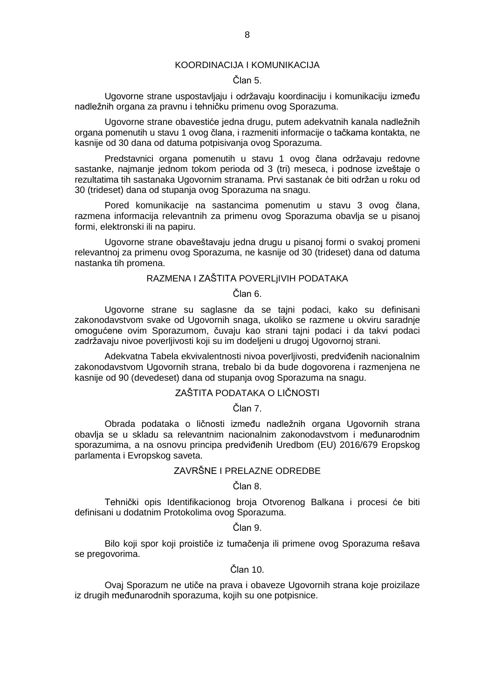#### KOORDINACIJA I KOMUNIKACIJA

## Član 5.

Ugovorne strane uspostavljaju i održavaju koordinaciju i komunikaciju između nadležnih organa za pravnu i tehničku primenu ovog Sporazuma.

Ugovorne strane obavestiće jedna drugu, putem adekvatnih kanala nadležnih organa pomenutih u stavu 1 ovog člana, i razmeniti informacije o tačkama kontakta, ne kasnije od 30 dana od datuma potpisivanja ovog Sporazuma.

Predstavnici organa pomenutih u stavu 1 ovog člana održavaju redovne sastanke, najmanje jednom tokom perioda od 3 (tri) meseca, i podnose izveštaje o rezultatima tih sastanaka Ugovornim stranama. Prvi sastanak će biti održan u roku od 30 (trideset) dana od stupanja ovog Sporazuma na snagu.

Pored komunikacije na sastancima pomenutim u stavu 3 ovog člana, razmena informacija relevantnih za primenu ovog Sporazuma obavlja se u pisanoj formi, elektronski ili na papiru.

Ugovorne strane obaveštavaju jedna drugu u pisanoj formi o svakoj promeni relevantnoj za primenu ovog Sporazuma, ne kasnije od 30 (trideset) dana od datuma nastanka tih promena.

## RAZMENA I ZAŠTITA POVERLjIVIH PODATAKA

Član 6.

Ugovorne strane su saglasne da se tajni podaci, kako su definisani zakonodavstvom svake od Ugovornih snaga, ukoliko se razmene u okviru saradnje omogućene ovim Sporazumom, čuvaju kao strani tajni podaci i da takvi podaci zadržavaju nivoe poverljivosti koji su im dodeljeni u drugoj Ugovornoj strani.

Adekvatna Tabela ekvivalentnosti nivoa poverljivosti, predviđenih nacionalnim zakonodavstvom Ugovornih strana, trebalo bi da bude dogovorena i razmenjena ne kasnije od 90 (devedeset) dana od stupanja ovog Sporazuma na snagu.

## ZAŠTITA PODATAKA O LIČNOSTI

Član 7.

Obrada podataka o ličnosti između nadležnih organa Ugovornih strana obavlja se u skladu sa relevantnim nacionalnim zakonodavstvom i međunarodnim sporazumima, a na osnovu principa predviđenih Uredbom (EU) 2016/679 Eropskog parlamenta i Evropskog saveta.

## ZAVRŠNE I PRELAZNE ODREDBE

Član 8.

Tehnički opis Identifikacionog broja Otvorenog Balkana i procesi će biti definisani u dodatnim Protokolima ovog Sporazuma.

Član 9.

Bilo koji spor koji proističe iz tumačenja ili primene ovog Sporazuma rešava se pregovorima.

Član 10.

Ovaj Sporazum ne utiče na prava i obaveze Ugovornih strana koje proizilaze iz drugih međunarodnih sporazuma, kojih su one potpisnice.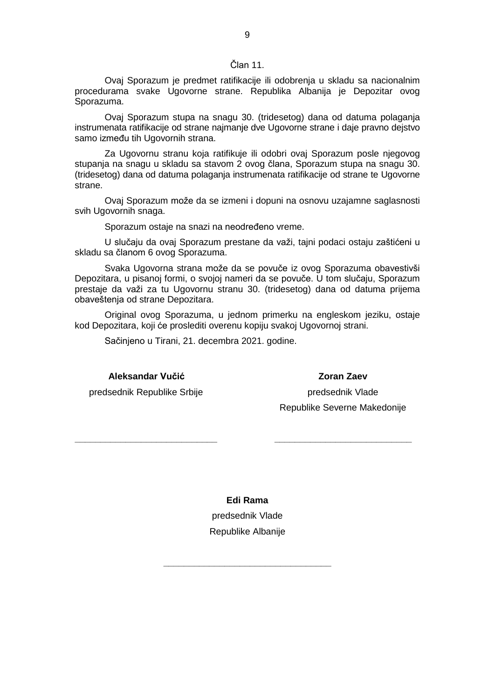#### Član 11.

Ovaj Sporazum je predmet ratifikacije ili odobrenja u skladu sa nacionalnim procedurama svake Ugovorne strane. Republika Albanija je Depozitar ovog Sporazuma.

Ovaj Sporazum stupa na snagu 30. (tridesetog) dana od datuma polaganja instrumenata ratifikacije od strane najmanje dve Ugovorne strane i daje pravno dejstvo samo između tih Ugovornih strana.

Za Ugovornu stranu koja ratifikuje ili odobri ovaj Sporazum posle njegovog stupanja na snagu u skladu sa stavom 2 ovog člana, Sporazum stupa na snagu 30. (tridesetog) dana od datuma polaganja instrumenata ratifikacije od strane te Ugovorne strane.

Ovaj Sporazum može da se izmeni i dopuni na osnovu uzajamne saglasnosti svih Ugovornih snaga.

Sporazum ostaje na snazi na neodređeno vreme.

U slučaju da ovaj Sporazum prestane da važi, tajni podaci ostaju zaštićeni u skladu sa članom 6 ovog Sporazuma.

Svaka Ugovorna strana može da se povuče iz ovog Sporazuma obavestivši Depozitara, u pisanoj formi, o svojoj nameri da se povuče. U tom slučaju, Sporazum prestaje da važi za tu Ugovornu stranu 30. (tridesetog) dana od datuma prijema obaveštenja od strane Depozitara.

Original ovog Sporazuma, u jednom primerku na engleskom jeziku, ostaje kod Depozitara, koji će proslediti overenu kopiju svakoj Ugovornoj strani.

Sačinjeno u Tirani, 21. decembra 2021. godine.

**Aleksandar Vučić**

**Zoran Zaev** predsednik Vlade

predsednik Republike Srbije

**\_\_\_\_\_\_\_\_\_\_\_\_\_\_\_\_\_\_\_\_\_\_\_\_\_\_\_\_**

Republike Severne Makedonije

**\_\_\_\_\_\_\_\_\_\_\_\_\_\_\_\_\_\_\_\_\_\_\_\_\_\_\_**

**Edi Rama**

predsednik Vlade Republike Albanije

**\_\_\_\_\_\_\_\_\_\_\_\_\_\_\_\_\_\_\_\_\_\_\_\_\_\_\_\_\_\_\_\_\_**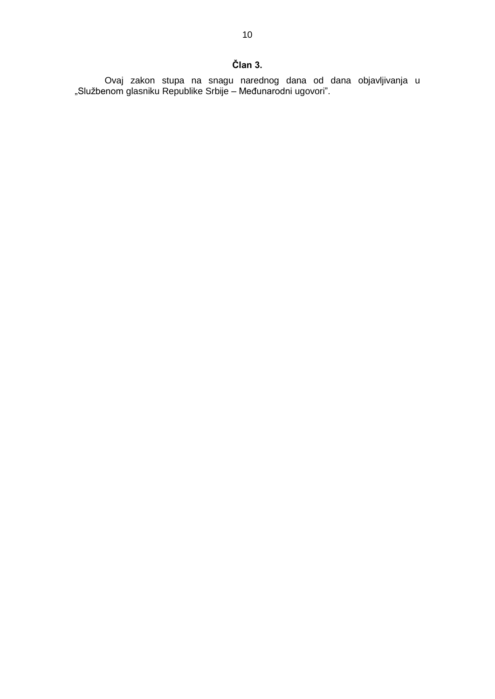Ovaj zakon stupa na snagu narednog dana od dana objavljivanja u "Službenom glasniku Republike Srbije – Međunarodni ugovori".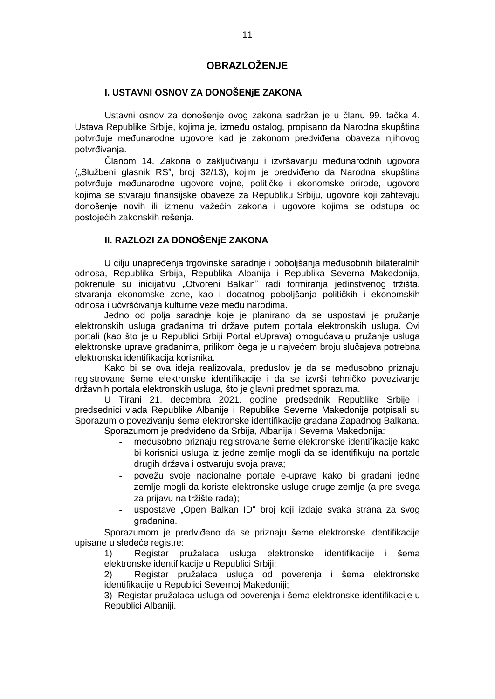## **OBRAZLOŽENJE**

## **I. USTAVNI OSNOV ZA DONOŠENjE ZAKONA**

Ustavni osnov za donošenje ovog zakona sadržan je u članu 99. tačka 4. Ustava Republike Srbije, kojima je, između ostalog, propisano da Narodna skupština potvrđuje međunarodne ugovore kad je zakonom predviđena obaveza njihovog potvrđivanja.

Članom 14. Zakona o zaključivanju i izvršavanju međunarodnih ugovora ("Službeni glasnik RS", broj 32/13), kojim je predviđeno da Narodna skupština potvrđuje međunarodne ugovore vojne, političke i ekonomske prirode, ugovore kojima se stvaraju finansijske obaveze za Republiku Srbiju, ugovore koji zahtevaju donošenje novih ili izmenu važećih zakona i ugovore kojima se odstupa od postojećih zakonskih rešenja.

## **II. RAZLOZI ZA DONOŠENjE ZAKONA**

U cilju unapređenja trgovinske saradnje i poboljšanja međusobnih bilateralnih odnosa, Republika Srbija, Republika Albanija i Republika Severna Makedonija, pokrenule su inicijativu "Otvoreni Balkan" radi formiranja jedinstvenog tržišta, stvaranja ekonomske zone, kao i dodatnog poboljšanja političkih i ekonomskih odnosa i učvršćivanja kulturne veze među narodima.

Jedno od polja saradnje koje je planirano da se uspostavi je pružanje elektronskih usluga građanima tri države putem portala elektronskih usluga. Ovi portali (kao što je u Republici Srbiji Portal eUprava) omogućavaju pružanje usluga elektronske uprave građanima, prilikom čega je u najvećem broju slučajeva potrebna elektronska identifikacija korisnika.

Kako bi se ova ideja realizovala, preduslov je da se međusobno priznaju registrovane šeme elektronske identifikacije i da se izvrši tehničko povezivanje državnih portala elektronskih usluga, što je glavni predmet sporazuma.

U Tirani 21. decembra 2021. godine predsednik Republike Srbije i predsednici vlada Republike Albanije i Republike Severne Makedonije potpisali su Sporazum o povezivanju šema elektronske identifikacije građana Zapadnog Balkana. Sporazumom je predviđeno da Srbija, Albanija i Severna Makedonija:

- međusobno priznaju registrovane šeme elektronske identifikacije kako bi korisnici usluga iz jedne zemlje mogli da se identifikuju na portale drugih država i ostvaruju svoja prava;
- povežu svoje nacionalne portale e-uprave kako bi građani jedne zemlje mogli da koriste elektronske usluge druge zemlje (a pre svega za prijavu na tržište rada);
- uspostave "Open Balkan ID" broj koji izdaje svaka strana za svog građanina.

Sporazumom je predviđeno da se priznaju šeme elektronske identifikacije upisane u sledeće registre:

1) Registar pružalaca usluga elektronske identifikacije i šema elektronske identifikacije u Republici Srbiji;

2) Registar pružalaca usluga od poverenja i šema elektronske identifikacije u Republici Severnoj Makedoniji;

3) Registar pružalaca usluga od poverenja i šema elektronske identifikacije u Republici Albaniji.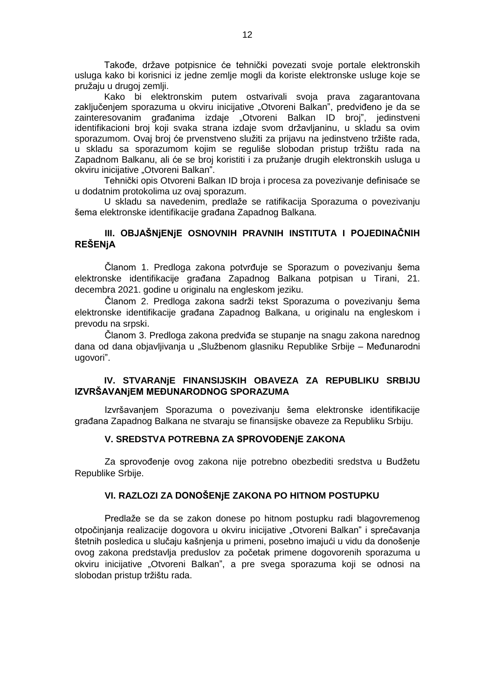Takođe, države potpisnice će tehnički povezati svoje portale elektronskih usluga kako bi korisnici iz jedne zemlje mogli da koriste elektronske usluge koje se pružaju u drugoj zemlji.

Kako bi elektronskim putem ostvarivali svoja prava zagarantovana zaključenjem sporazuma u okviru inicijative "Otvoreni Balkan", predviđeno je da se zainteresovanim građanima izdaje "Otvoreni Balkan ID broj", jedinstveni identifikacioni broj koji svaka strana izdaje svom državljaninu, u skladu sa ovim sporazumom. Ovaj broj će prvenstveno služiti za prijavu na jedinstveno tržište rada, u skladu sa sporazumom kojim se reguliše slobodan pristup tržištu rada na Zapadnom Balkanu, ali će se broj koristiti i za pružanje drugih elektronskih usluga u okviru inicijative "Otvoreni Balkan".

Tehnički opis Otvoreni Balkan ID broja i procesa za povezivanje definisaće se u dodatnim protokolima uz ovaj sporazum.

U skladu sa navedenim, predlaže se ratifikacija Sporazuma o povezivanju šema elektronske identifikacije građana Zapadnog Balkana.

## **III. OBJAŠNjENjE OSNOVNIH PRAVNIH INSTITUTA I POJEDINAČNIH REŠENjA**

Članom 1. Predloga zakona potvrđuje se Sporazum o povezivanju šema elektronske identifikacije građana Zapadnog Balkana potpisan u Tirani, 21. decembra 2021. godine u originalu na engleskom jeziku.

Članom 2. Predloga zakona sadrži tekst Sporazuma o povezivanju šema elektronske identifikacije građana Zapadnog Balkana, u originalu na engleskom i prevodu na srpski.

Članom 3. Predloga zakona predviđa se stupanje na snagu zakona narednog dana od dana objavljivanja u "Službenom glasniku Republike Srbije – Međunarodni ugovori".

## **IV. STVARANjE FINANSIJSKIH OBAVEZA ZA REPUBLIKU SRBIJU IZVRŠAVANjEM MEĐUNARODNOG SPORAZUMA**

Izvršavanjem Sporazuma o povezivanju šema elektronske identifikacije građana Zapadnog Balkana ne stvaraju se finansijske obaveze za Republiku Srbiju.

## **V. SREDSTVA POTREBNA ZA SPROVOĐENjE ZAKONA**

Za sprovođenje ovog zakona nije potrebno obezbediti sredstva u Budžetu Republike Srbije.

## **VI. RAZLOZI ZA DONOŠENjE ZAKONA PO HITNOM POSTUPKU**

Predlaže se da se zakon donese po hitnom postupku radi blagovremenog otpočinjanja realizacije dogovora u okviru inicijative "Otvoreni Balkan" i sprečavanja štetnih posledica u slučaju kašnjenja u primeni, posebno imajući u vidu da donošenje ovog zakona predstavlja preduslov za početak primene dogovorenih sporazuma u okviru inicijative "Otvoreni Balkan", a pre svega sporazuma koji se odnosi na slobodan pristup tržištu rada.